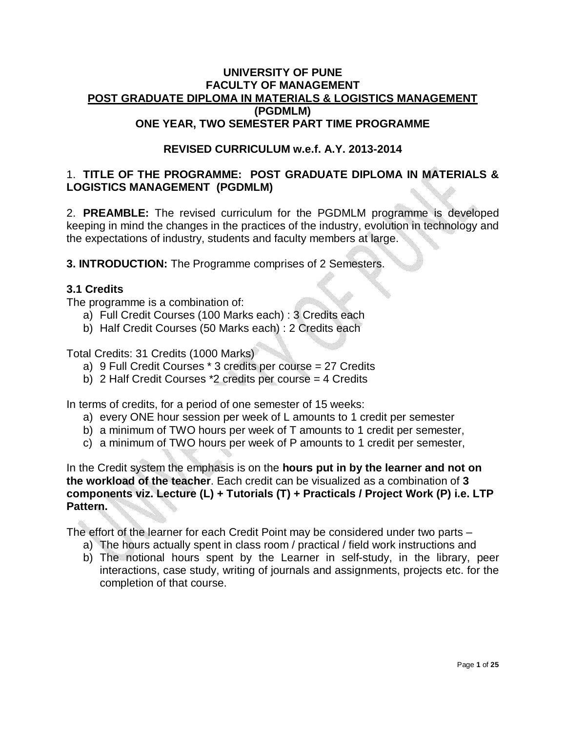#### **UNIVERSITY OF PUNE FACULTY OF MANAGEMENT POST GRADUATE DIPLOMA IN MATERIALS & LOGISTICS MANAGEMENT (PGDMLM) ONE YEAR, TWO SEMESTER PART TIME PROGRAMME**

#### **REVISED CURRICULUM w.e.f. A.Y. 2013-2014**

#### 1. **TITLE OF THE PROGRAMME: POST GRADUATE DIPLOMA IN MATERIALS & LOGISTICS MANAGEMENT (PGDMLM)**

2. **PREAMBLE:** The revised curriculum for the PGDMLM programme is developed keeping in mind the changes in the practices of the industry, evolution in technology and the expectations of industry, students and faculty members at large.

**3. INTRODUCTION:** The Programme comprises of 2 Semesters.

#### **3.1 Credits**

The programme is a combination of:

- a) Full Credit Courses (100 Marks each) : 3 Credits each
- b) Half Credit Courses (50 Marks each) : 2 Credits each

Total Credits: 31 Credits (1000 Marks)

- a) 9 Full Credit Courses \* 3 credits per course = 27 Credits
- b) 2 Half Credit Courses \*2 credits per course = 4 Credits

In terms of credits, for a period of one semester of 15 weeks:

- a) every ONE hour session per week of L amounts to 1 credit per semester
- b) a minimum of TWO hours per week of T amounts to 1 credit per semester,
- c) a minimum of TWO hours per week of P amounts to 1 credit per semester,

In the Credit system the emphasis is on the **hours put in by the learner and not on the workload of the teacher**. Each credit can be visualized as a combination of **3 components viz. Lecture (L) + Tutorials (T) + Practicals / Project Work (P) i.e. LTP Pattern.** 

The effort of the learner for each Credit Point may be considered under two parts –

- a) The hours actually spent in class room / practical / field work instructions and
- b) The notional hours spent by the Learner in self-study, in the library, peer interactions, case study, writing of journals and assignments, projects etc. for the completion of that course.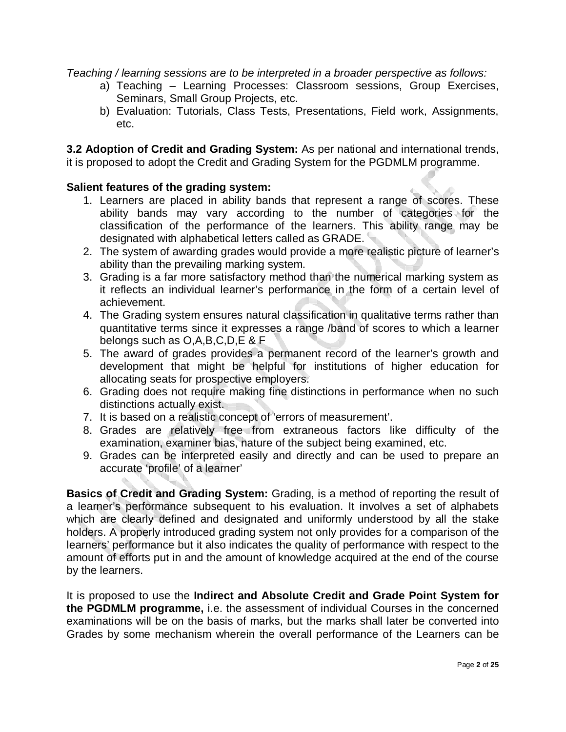*Teaching / learning sessions are to be interpreted in a broader perspective as follows:* 

- a) Teaching Learning Processes: Classroom sessions, Group Exercises, Seminars, Small Group Projects, etc.
- b) Evaluation: Tutorials, Class Tests, Presentations, Field work, Assignments, etc.

**3.2 Adoption of Credit and Grading System:** As per national and international trends, it is proposed to adopt the Credit and Grading System for the PGDMLM programme.

#### **Salient features of the grading system:**

- 1. Learners are placed in ability bands that represent a range of scores. These ability bands may vary according to the number of categories for the classification of the performance of the learners. This ability range may be designated with alphabetical letters called as GRADE.
- 2. The system of awarding grades would provide a more realistic picture of learner's ability than the prevailing marking system.
- 3. Grading is a far more satisfactory method than the numerical marking system as it reflects an individual learner's performance in the form of a certain level of achievement.
- 4. The Grading system ensures natural classification in qualitative terms rather than quantitative terms since it expresses a range /band of scores to which a learner belongs such as O,A,B,C,D,E & F
- 5. The award of grades provides a permanent record of the learner's growth and development that might be helpful for institutions of higher education for allocating seats for prospective employers.
- 6. Grading does not require making fine distinctions in performance when no such distinctions actually exist.
- 7. It is based on a realistic concept of 'errors of measurement'.
- 8. Grades are relatively free from extraneous factors like difficulty of the examination, examiner bias, nature of the subject being examined, etc.
- 9. Grades can be interpreted easily and directly and can be used to prepare an accurate 'profile' of a learner'

**Basics of Credit and Grading System:** Grading, is a method of reporting the result of a learner's performance subsequent to his evaluation. It involves a set of alphabets which are clearly defined and designated and uniformly understood by all the stake holders. A properly introduced grading system not only provides for a comparison of the learners' performance but it also indicates the quality of performance with respect to the amount of efforts put in and the amount of knowledge acquired at the end of the course by the learners.

It is proposed to use the **Indirect and Absolute Credit and Grade Point System for the PGDMLM programme,** i.e. the assessment of individual Courses in the concerned examinations will be on the basis of marks, but the marks shall later be converted into Grades by some mechanism wherein the overall performance of the Learners can be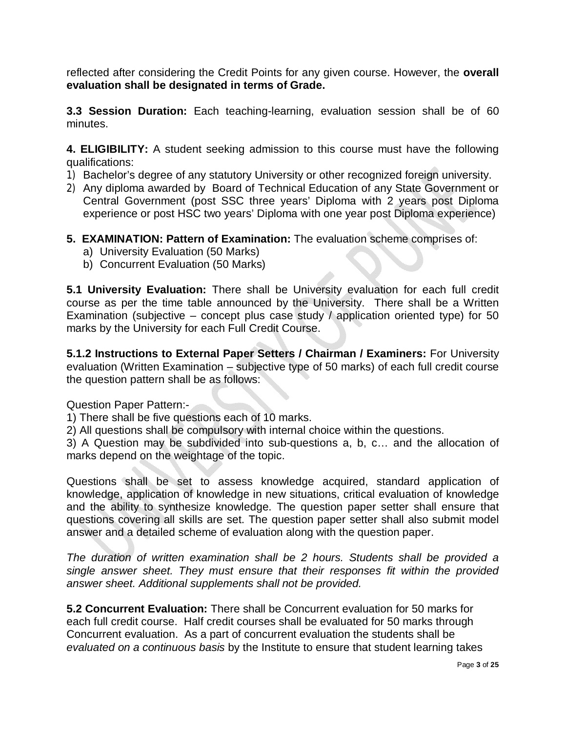reflected after considering the Credit Points for any given course. However, the **overall evaluation shall be designated in terms of Grade.**

**3.3 Session Duration:** Each teaching-learning, evaluation session shall be of 60 minutes.

**4. ELIGIBILITY:** A student seeking admission to this course must have the following qualifications:

- 1) Bachelor's degree of any statutory University or other recognized foreign university.
- 2) Any diploma awarded by Board of Technical Education of any State Government or Central Government (post SSC three years' Diploma with 2 years post Diploma experience or post HSC two years' Diploma with one year post Diploma experience)
- **5. EXAMINATION: Pattern of Examination:** The evaluation scheme comprises of:
	- a) University Evaluation (50 Marks)
	- b) Concurrent Evaluation (50 Marks)

**5.1 University Evaluation:** There shall be University evaluation for each full credit course as per the time table announced by the University. There shall be a Written Examination (subjective – concept plus case study / application oriented type) for 50 marks by the University for each Full Credit Course.

**5.1.2 Instructions to External Paper Setters / Chairman / Examiners:** For University evaluation (Written Examination – subjective type of 50 marks) of each full credit course the question pattern shall be as follows:

Question Paper Pattern:-

1) There shall be five questions each of 10 marks.

2) All questions shall be compulsory with internal choice within the questions.

3) A Question may be subdivided into sub-questions a, b, c… and the allocation of marks depend on the weightage of the topic.

Questions shall be set to assess knowledge acquired, standard application of knowledge, application of knowledge in new situations, critical evaluation of knowledge and the ability to synthesize knowledge. The question paper setter shall ensure that questions covering all skills are set. The question paper setter shall also submit model answer and a detailed scheme of evaluation along with the question paper.

*The duration of written examination shall be 2 hours. Students shall be provided a single answer sheet. They must ensure that their responses fit within the provided answer sheet. Additional supplements shall not be provided.*

**5.2 Concurrent Evaluation:** There shall be Concurrent evaluation for 50 marks for each full credit course. Half credit courses shall be evaluated for 50 marks through Concurrent evaluation. As a part of concurrent evaluation the students shall be *evaluated on a continuous basis* by the Institute to ensure that student learning takes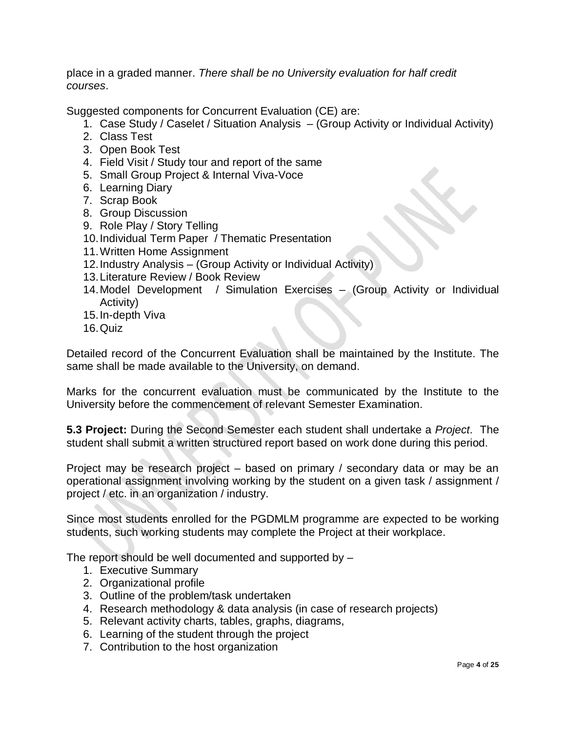place in a graded manner. *There shall be no University evaluation for half credit courses*.

Suggested components for Concurrent Evaluation (CE) are:

- 1. Case Study / Caselet / Situation Analysis (Group Activity or Individual Activity)
- 2. Class Test
- 3. Open Book Test
- 4. Field Visit / Study tour and report of the same
- 5. Small Group Project & Internal Viva-Voce
- 6. Learning Diary
- 7. Scrap Book
- 8. Group Discussion
- 9. Role Play / Story Telling
- 10.Individual Term Paper / Thematic Presentation
- 11.Written Home Assignment
- 12.Industry Analysis (Group Activity or Individual Activity)
- 13.Literature Review / Book Review
- 14.Model Development / Simulation Exercises (Group Activity or Individual Activity)
- 15.In-depth Viva
- 16.Quiz

Detailed record of the Concurrent Evaluation shall be maintained by the Institute. The same shall be made available to the University, on demand.

Marks for the concurrent evaluation must be communicated by the Institute to the University before the commencement of relevant Semester Examination.

**5.3 Project:** During the Second Semester each student shall undertake a *Project*. The student shall submit a written structured report based on work done during this period.

Project may be research project – based on primary / secondary data or may be an operational assignment involving working by the student on a given task / assignment / project / etc. in an organization / industry.

Since most students enrolled for the PGDMLM programme are expected to be working students, such working students may complete the Project at their workplace.

The report should be well documented and supported by –

- 1. Executive Summary
- 2. Organizational profile
- 3. Outline of the problem/task undertaken
- 4. Research methodology & data analysis (in case of research projects)
- 5. Relevant activity charts, tables, graphs, diagrams,
- 6. Learning of the student through the project
- 7. Contribution to the host organization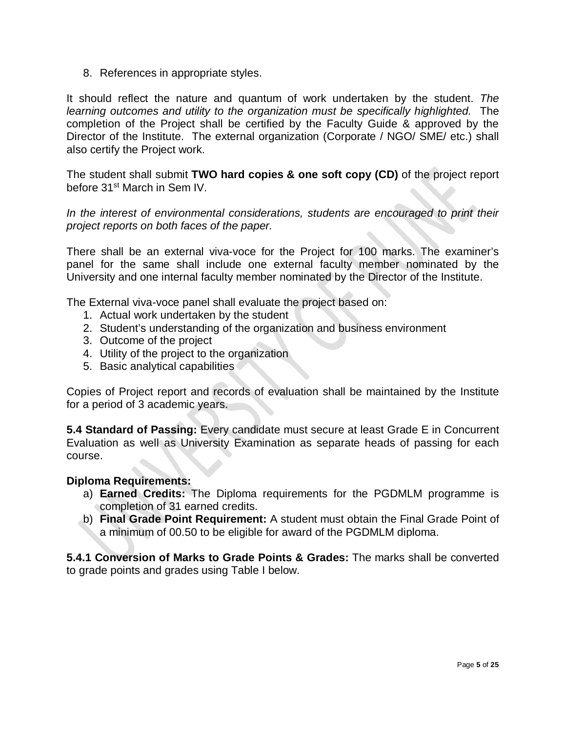8. References in appropriate styles.

It should reflect the nature and quantum of work undertaken by the student. *The learning outcomes and utility to the organization must be specifically highlighted.* The completion of the Project shall be certified by the Faculty Guide & approved by the Director of the Institute. The external organization (Corporate / NGO/ SME/ etc.) shall also certify the Project work.

The student shall submit **TWO hard copies & one soft copy (CD)** of the project report before 31st March in Sem IV.

In the interest of environmental considerations, students are encouraged to print their *project reports on both faces of the paper.*

There shall be an external viva-voce for the Project for 100 marks. The examiner's panel for the same shall include one external faculty member nominated by the University and one internal faculty member nominated by the Director of the Institute.

The External viva-voce panel shall evaluate the project based on:

- 1. Actual work undertaken by the student
- 2. Student's understanding of the organization and business environment
- 3. Outcome of the project
- 4. Utility of the project to the organization
- 5. Basic analytical capabilities

Copies of Project report and records of evaluation shall be maintained by the Institute for a period of 3 academic years.

**5.4 Standard of Passing:** Every candidate must secure at least Grade E in Concurrent Evaluation as well as University Examination as separate heads of passing for each course.

#### **Diploma Requirements:**

- a) **Earned Credits:** The Diploma requirements for the PGDMLM programme is completion of 31 earned credits.
- b) **Final Grade Point Requirement:** A student must obtain the Final Grade Point of a minimum of 00.50 to be eligible for award of the PGDMLM diploma.

**5.4.1 Conversion of Marks to Grade Points & Grades:** The marks shall be converted to grade points and grades using Table I below.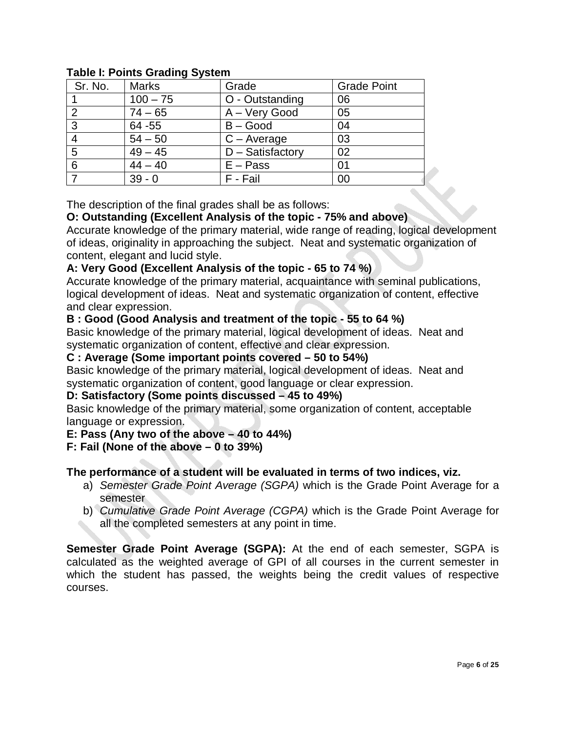| Sr. No. | <b>Marks</b> | Grade              | <b>Grade Point</b> |
|---------|--------------|--------------------|--------------------|
|         | $100 - 75$   | O - Outstanding    | 06                 |
|         | $74 - 65$    | A - Very Good      | 05                 |
| 3       | 64 - 55      | $B - Good$         | 04                 |
|         | $54 - 50$    | $C - Average$      | 03                 |
| 5       | $49 - 45$    | $D -$ Satisfactory | 02                 |
| 6       | $44 - 40$    | $E - Pass$         | 01                 |
|         | $39 - 0$     | F - Fail           | 00                 |

#### **Table I: Points Grading System**

The description of the final grades shall be as follows:

#### **O: Outstanding (Excellent Analysis of the topic - 75% and above)**

Accurate knowledge of the primary material, wide range of reading, logical development of ideas, originality in approaching the subject. Neat and systematic organization of content, elegant and lucid style.

#### **A: Very Good (Excellent Analysis of the topic - 65 to 74 %)**

Accurate knowledge of the primary material, acquaintance with seminal publications, logical development of ideas. Neat and systematic organization of content, effective and clear expression.

#### **B : Good (Good Analysis and treatment of the topic - 55 to 64 %)**

Basic knowledge of the primary material, logical development of ideas. Neat and systematic organization of content, effective and clear expression.

#### **C : Average (Some important points covered – 50 to 54%)**

Basic knowledge of the primary material, logical development of ideas. Neat and systematic organization of content, good language or clear expression.

#### **D: Satisfactory (Some points discussed – 45 to 49%)**

Basic knowledge of the primary material, some organization of content, acceptable language or expression.

#### **E: Pass (Any two of the above – 40 to 44%)**

#### **F: Fail (None of the above – 0 to 39%)**

#### **The performance of a student will be evaluated in terms of two indices, viz.**

- a) *Semester Grade Point Average (SGPA)* which is the Grade Point Average for a semester
- b) *Cumulative Grade Point Average (CGPA)* which is the Grade Point Average for all the completed semesters at any point in time.

**Semester Grade Point Average (SGPA):** At the end of each semester, SGPA is calculated as the weighted average of GPI of all courses in the current semester in which the student has passed, the weights being the credit values of respective courses.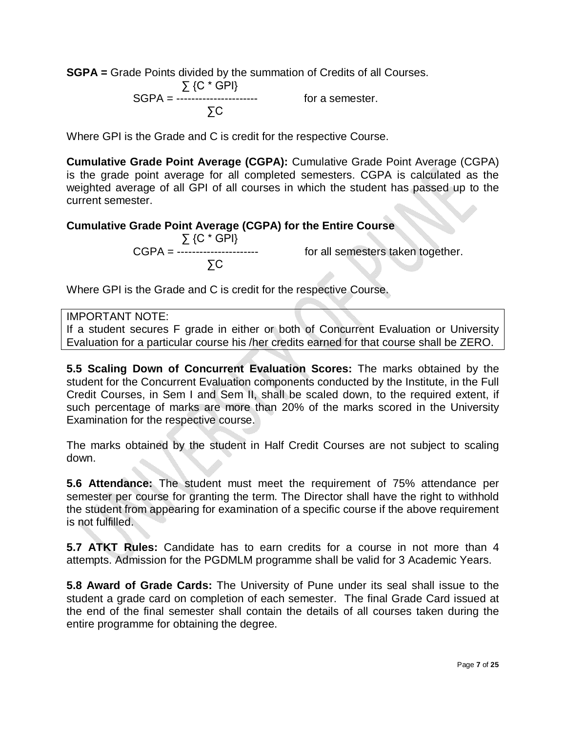**SGPA =** Grade Points divided by the summation of Credits of all Courses.

 ∑ {C \* GPI} SGPA = ---------------------- for a semester. ∑C

Where GPI is the Grade and C is credit for the respective Course.

**Cumulative Grade Point Average (CGPA):** Cumulative Grade Point Average (CGPA) is the grade point average for all completed semesters. CGPA is calculated as the weighted average of all GPI of all courses in which the student has passed up to the current semester.

#### **Cumulative Grade Point Average (CGPA) for the Entire Course**

 ∑ {C \* GPI} ∑C

CGPA = ---------------------- for all semesters taken together.

Where GPI is the Grade and C is credit for the respective Course.

#### IMPORTANT NOTE:

If a student secures F grade in either or both of Concurrent Evaluation or University Evaluation for a particular course his /her credits earned for that course shall be ZERO.

**5.5 Scaling Down of Concurrent Evaluation Scores:** The marks obtained by the student for the Concurrent Evaluation components conducted by the Institute, in the Full Credit Courses, in Sem I and Sem II, shall be scaled down, to the required extent, if such percentage of marks are more than 20% of the marks scored in the University Examination for the respective course.

The marks obtained by the student in Half Credit Courses are not subject to scaling down.

**5.6 Attendance:** The student must meet the requirement of 75% attendance per semester per course for granting the term. The Director shall have the right to withhold the student from appearing for examination of a specific course if the above requirement is not fulfilled.

**5.7 ATKT Rules:** Candidate has to earn credits for a course in not more than 4 attempts. Admission for the PGDMLM programme shall be valid for 3 Academic Years.

**5.8 Award of Grade Cards:** The University of Pune under its seal shall issue to the student a grade card on completion of each semester. The final Grade Card issued at the end of the final semester shall contain the details of all courses taken during the entire programme for obtaining the degree.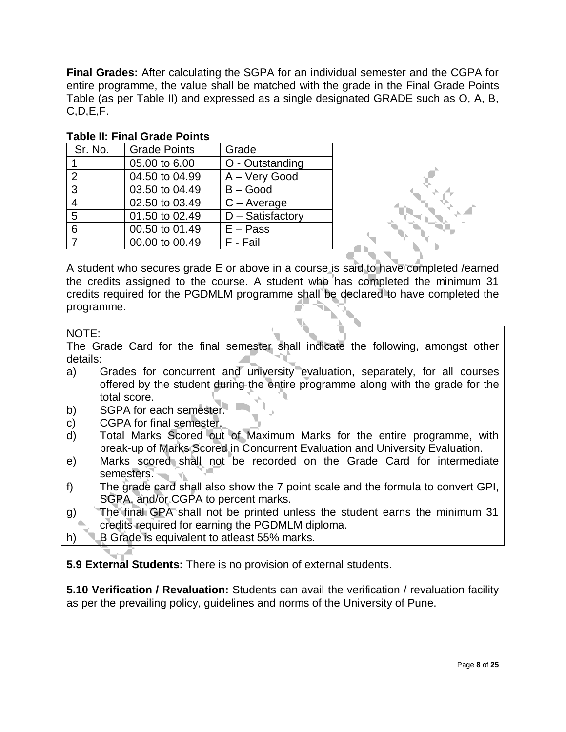**Final Grades:** After calculating the SGPA for an individual semester and the CGPA for entire programme, the value shall be matched with the grade in the Final Grade Points Table (as per Table II) and expressed as a single designated GRADE such as O, A, B, C,D,E,F.

| Sr. No. | <b>Grade Points</b> | Grade               |
|---------|---------------------|---------------------|
| 1       | 05.00 to 6.00       | O - Outstanding     |
| 2       | 04.50 to 04.99      | A - Very Good       |
| 3       | 03.50 to 04.49      | $B - Good$          |
| 4       | 02.50 to 03.49      | $C - Average$       |
| 5       | 01.50 to 02.49      | $D - S$ atisfactory |
| 6       | 00.50 to 01.49      | $E - Pass$          |
| 7       | 00.00 to 00.49      | F - Fail            |

#### **Table II: Final Grade Points**

A student who secures grade E or above in a course is said to have completed /earned the credits assigned to the course. A student who has completed the minimum 31 credits required for the PGDMLM programme shall be declared to have completed the programme.

#### NOTE:

The Grade Card for the final semester shall indicate the following, amongst other details:

- a) Grades for concurrent and university evaluation, separately, for all courses offered by the student during the entire programme along with the grade for the total score.
- b) SGPA for each semester.
- c) CGPA for final semester.
- d) Total Marks Scored out of Maximum Marks for the entire programme, with break-up of Marks Scored in Concurrent Evaluation and University Evaluation.
- e) Marks scored shall not be recorded on the Grade Card for intermediate semesters.
- f) The grade card shall also show the 7 point scale and the formula to convert GPI, SGPA, and/or CGPA to percent marks.
- g) The final GPA shall not be printed unless the student earns the minimum 31 credits required for earning the PGDMLM diploma.
- h) B Grade is equivalent to atleast 55% marks.

**5.9 External Students:** There is no provision of external students.

**5.10 Verification / Revaluation:** Students can avail the verification / revaluation facility as per the prevailing policy, guidelines and norms of the University of Pune.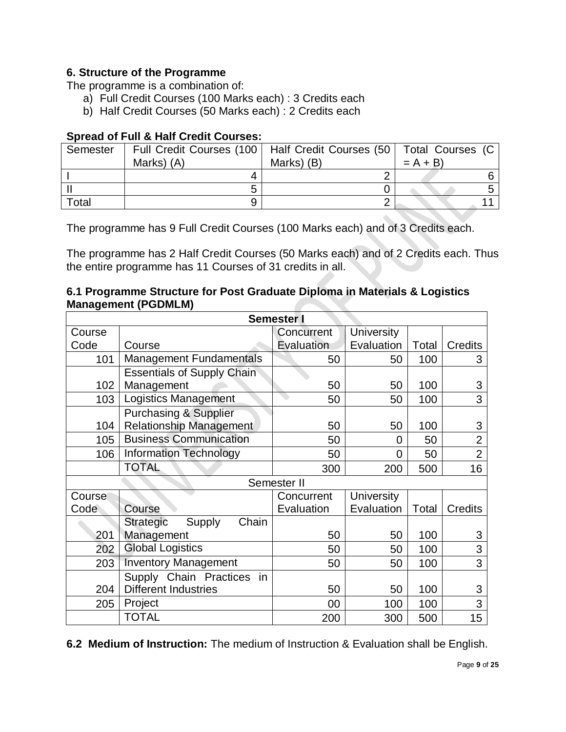#### **6. Structure of the Programme**

The programme is a combination of:

- a) Full Credit Courses (100 Marks each) : 3 Credits each
- b) Half Credit Courses (50 Marks each) : 2 Credits each

#### **Spread of Full & Half Credit Courses:**

| Semester | Full Credit Courses (100   Half Credit Courses (50   Total Courses (C |            |           |  |
|----------|-----------------------------------------------------------------------|------------|-----------|--|
|          | Marks) (A)                                                            | Marks) (B) | $= A + B$ |  |
|          |                                                                       |            |           |  |
|          |                                                                       |            |           |  |
| Total    |                                                                       |            |           |  |

The programme has 9 Full Credit Courses (100 Marks each) and of 3 Credits each.

The programme has 2 Half Credit Courses (50 Marks each) and of 2 Credits each. Thus the entire programme has 11 Courses of 31 credits in all.

#### **6.1 Programme Structure for Post Graduate Diploma in Materials & Logistics Management (PGDMLM)**

| <b>Semester</b> I                  |                                     |             |                   |       |                |  |  |
|------------------------------------|-------------------------------------|-------------|-------------------|-------|----------------|--|--|
| Course                             |                                     | Concurrent  | <b>University</b> |       |                |  |  |
| Code                               | Course                              | Evaluation  | Evaluation        | Total | Credits        |  |  |
| 101                                | <b>Management Fundamentals</b>      | 50          | 50                | 100   | 3              |  |  |
|                                    | <b>Essentials of Supply Chain</b>   |             |                   |       |                |  |  |
| 102                                | Management                          | 50          | 50                | 100   | 3              |  |  |
| 103                                | Logistics Management                | 50          | 50                | 100   | 3              |  |  |
|                                    | <b>Purchasing &amp; Supplier</b>    |             |                   |       |                |  |  |
| 104                                | <b>Relationship Management</b>      | 50          | 50                | 100   | 3              |  |  |
| 105                                | <b>Business Communication</b>       | 50          | 0                 | 50    | $\overline{2}$ |  |  |
| 106                                | <b>Information Technology</b>       | 50          | $\Omega$          | 50    | $\overline{2}$ |  |  |
|                                    | <b>TOTAL</b>                        | 300         | 200               | 500   | 16             |  |  |
|                                    |                                     | Semester II |                   |       |                |  |  |
| Course                             |                                     | Concurrent  | <b>University</b> |       |                |  |  |
| Code                               | Course                              | Evaluation  | Evaluation        | Total | <b>Credits</b> |  |  |
|                                    | Chain<br>Supply<br><b>Strategic</b> |             |                   |       |                |  |  |
| 201                                | Management                          | 50          | 50                | 100   | 3              |  |  |
| <b>Global Logistics</b><br>202     |                                     | 50          | 50                | 100   | 3              |  |  |
| <b>Inventory Management</b><br>203 |                                     | 50          | 50                | 100   | 3              |  |  |
|                                    | Supply Chain Practices<br>in        |             |                   |       |                |  |  |
| <b>Different Industries</b><br>204 |                                     | 50          | 50                | 100   | 3              |  |  |
| 205                                | Project                             | 00          | 100               | 100   | 3              |  |  |
|                                    | TOTAL                               | 200         | 300               | 500   | 15             |  |  |

**6.2 Medium of Instruction:** The medium of Instruction & Evaluation shall be English.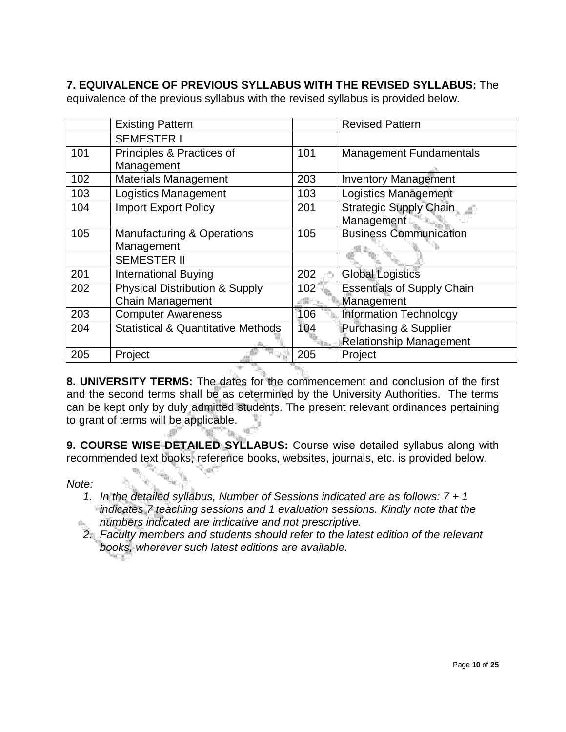## **7. EQUIVALENCE OF PREVIOUS SYLLABUS WITH THE REVISED SYLLABUS:** The

|     | <b>Existing Pattern</b>                       |                  | <b>Revised Pattern</b>            |
|-----|-----------------------------------------------|------------------|-----------------------------------|
|     | <b>SEMESTER I</b>                             |                  |                                   |
| 101 | Principles & Practices of                     | 101              | <b>Management Fundamentals</b>    |
|     | Management                                    |                  |                                   |
| 102 | <b>Materials Management</b>                   | 203              | <b>Inventory Management</b>       |
| 103 | <b>Logistics Management</b>                   | 103              | <b>Logistics Management</b>       |
| 104 | <b>Import Export Policy</b>                   | 201              | <b>Strategic Supply Chain</b>     |
|     |                                               |                  | Management                        |
| 105 | <b>Manufacturing &amp; Operations</b>         | 105              | <b>Business Communication</b>     |
|     | Management                                    |                  |                                   |
|     | <b>SEMESTER II</b>                            |                  |                                   |
| 201 | <b>International Buying</b>                   | 202              | <b>Global Logistics</b>           |
| 202 | <b>Physical Distribution &amp; Supply</b>     | 102 <sup>°</sup> | <b>Essentials of Supply Chain</b> |
|     | <b>Chain Management</b>                       |                  | Management                        |
| 203 | <b>Computer Awareness</b>                     | 106              | <b>Information Technology</b>     |
| 204 | <b>Statistical &amp; Quantitative Methods</b> | 104              | <b>Purchasing &amp; Supplier</b>  |
|     |                                               |                  | <b>Relationship Management</b>    |
| 205 | Project                                       | 205              | Project                           |

equivalence of the previous syllabus with the revised syllabus is provided below.

**8. UNIVERSITY TERMS:** The dates for the commencement and conclusion of the first and the second terms shall be as determined by the University Authorities. The terms can be kept only by duly admitted students. The present relevant ordinances pertaining to grant of terms will be applicable.

**9. COURSE WISE DETAILED SYLLABUS:** Course wise detailed syllabus along with recommended text books, reference books, websites, journals, etc. is provided below.

*Note:* 

- *1. In the detailed syllabus, Number of Sessions indicated are as follows: 7 + 1 indicates 7 teaching sessions and 1 evaluation sessions. Kindly note that the numbers indicated are indicative and not prescriptive.*
- *2. Faculty members and students should refer to the latest edition of the relevant books, wherever such latest editions are available.*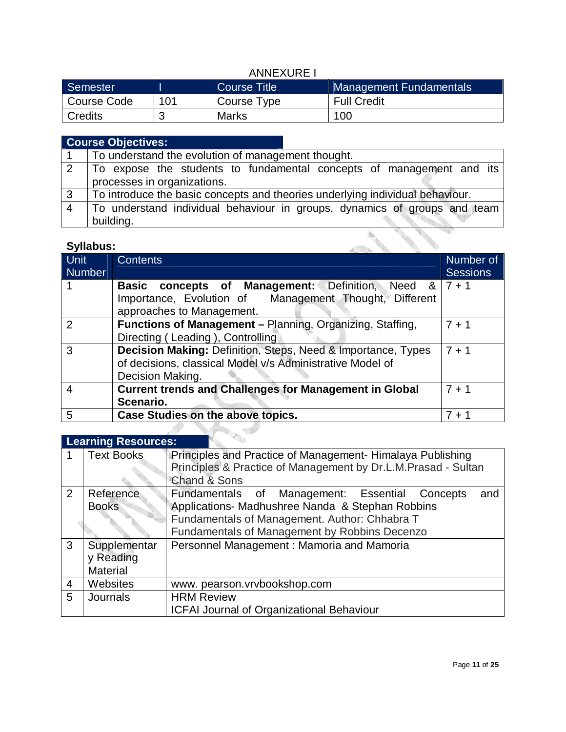## ANNEXURE I

| Semester       |     | Course Title | Management Fundamentals |
|----------------|-----|--------------|-------------------------|
| Course Code    | 101 | Course Type  | <b>Full Credit</b>      |
| <b>Credits</b> |     | <b>Marks</b> | 100                     |

|                | <b>Course Objectives:</b>                                                     |  |  |  |  |
|----------------|-------------------------------------------------------------------------------|--|--|--|--|
|                | To understand the evolution of management thought.                            |  |  |  |  |
| 2              | To expose the students to fundamental concepts of management and its          |  |  |  |  |
|                | processes in organizations.                                                   |  |  |  |  |
| 3              | To introduce the basic concepts and theories underlying individual behaviour. |  |  |  |  |
| $\overline{4}$ | To understand individual behaviour in groups, dynamics of groups and team     |  |  |  |  |
|                | building.                                                                     |  |  |  |  |
|                | Syllabus:                                                                     |  |  |  |  |

### **Syllabus:**

| Unit<br><b>Number</b> | <b>Contents</b>                                                                                                                                                       | Number of<br><b>Sessions</b> |
|-----------------------|-----------------------------------------------------------------------------------------------------------------------------------------------------------------------|------------------------------|
|                       | <b>concepts of Management:</b> Definition, Need $8 \mid 7 + 1$<br><b>Basic</b><br>Importance, Evolution of Management Thought, Different<br>approaches to Management. |                              |
| 2                     | Functions of Management - Planning, Organizing, Staffing,<br>Directing (Leading), Controlling                                                                         | $7 + 1$                      |
| 3                     | Decision Making: Definition, Steps, Need & Importance, Types<br>of decisions, classical Model v/s Administrative Model of<br>Decision Making.                         | $7 + 1$                      |
| 4                     | <b>Current trends and Challenges for Management in Global</b><br>Scenario.                                                                                            | $7 + 1$                      |
| 5                     | Case Studies on the above topics.                                                                                                                                     | $7 + 1$                      |
|                       |                                                                                                                                                                       |                              |

# **Learning Resources:**

|                | <b>Text Books</b>                            | Principles and Practice of Management-Himalaya Publishing<br>Principles & Practice of Management by Dr.L.M.Prasad - Sultan<br><b>Chand &amp; Sons</b>                                                          |  |  |
|----------------|----------------------------------------------|----------------------------------------------------------------------------------------------------------------------------------------------------------------------------------------------------------------|--|--|
| $\overline{2}$ | Reference<br><b>Books</b>                    | Fundamentals of<br>Management: Essential Concepts<br>and<br>Applications- Madhushree Nanda & Stephan Robbins<br>Fundamentals of Management. Author: Chhabra T<br>Fundamentals of Management by Robbins Decenzo |  |  |
| 3              | Supplementar<br>y Reading<br><b>Material</b> | Personnel Management: Mamoria and Mamoria                                                                                                                                                                      |  |  |
| 4              | <b>Websites</b>                              | www.pearson.vrvbookshop.com                                                                                                                                                                                    |  |  |
| 5              | <b>Journals</b>                              | <b>HRM Review</b><br><b>ICFAI Journal of Organizational Behaviour</b>                                                                                                                                          |  |  |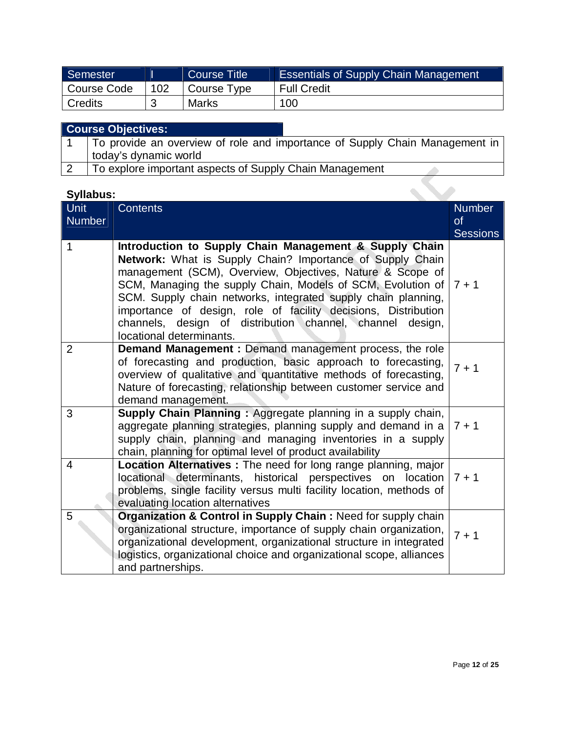| Semester       |     | Course Title | <b>Essentials of Supply Chain Management</b> |
|----------------|-----|--------------|----------------------------------------------|
| Course Code    | 102 | Course Type  | <b>Full Credit</b>                           |
| <b>Credits</b> |     | Marks        | 100                                          |

| <b>Course Objectives:</b>                                                   |
|-----------------------------------------------------------------------------|
| To provide an overview of role and importance of Supply Chain Management in |
| today's dynamic world                                                       |
| To explore important aspects of Supply Chain Management                     |

| <b>Syllabus:</b> |                                                                                                                                                                                                                                                                                                                                                                                                                                                                             |                       |  |  |
|------------------|-----------------------------------------------------------------------------------------------------------------------------------------------------------------------------------------------------------------------------------------------------------------------------------------------------------------------------------------------------------------------------------------------------------------------------------------------------------------------------|-----------------------|--|--|
| Unit             | <b>Contents</b>                                                                                                                                                                                                                                                                                                                                                                                                                                                             | <b>Number</b>         |  |  |
| <b>Number</b>    |                                                                                                                                                                                                                                                                                                                                                                                                                                                                             | of<br><b>Sessions</b> |  |  |
| 1                | Introduction to Supply Chain Management & Supply Chain<br>Network: What is Supply Chain? Importance of Supply Chain<br>management (SCM), Overview, Objectives, Nature & Scope of<br>SCM, Managing the supply Chain, Models of SCM, Evolution of<br>SCM. Supply chain networks, integrated supply chain planning,<br>importance of design, role of facility decisions, Distribution<br>channels, design of distribution channel, channel design,<br>locational determinants. | $7 + 1$               |  |  |
| $\overline{2}$   | Demand Management : Demand management process, the role<br>of forecasting and production, basic approach to forecasting,<br>overview of qualitative and quantitative methods of forecasting,<br>Nature of forecasting, relationship between customer service and<br>demand management.                                                                                                                                                                                      | $7 + 1$               |  |  |
| 3                | Supply Chain Planning: Aggregate planning in a supply chain,<br>aggregate planning strategies, planning supply and demand in a<br>supply chain, planning and managing inventories in a supply<br>chain, planning for optimal level of product availability                                                                                                                                                                                                                  | $7 + 1$               |  |  |
| 4                | Location Alternatives : The need for long range planning, major<br>locational determinants, historical perspectives on location<br>problems, single facility versus multi facility location, methods of<br>evaluating location alternatives                                                                                                                                                                                                                                 | $7 + 1$               |  |  |
| 5                | Organization & Control in Supply Chain: Need for supply chain<br>organizational structure, importance of supply chain organization,<br>organizational development, organizational structure in integrated<br>logistics, organizational choice and organizational scope, alliances<br>and partnerships.                                                                                                                                                                      | $7 + 1$               |  |  |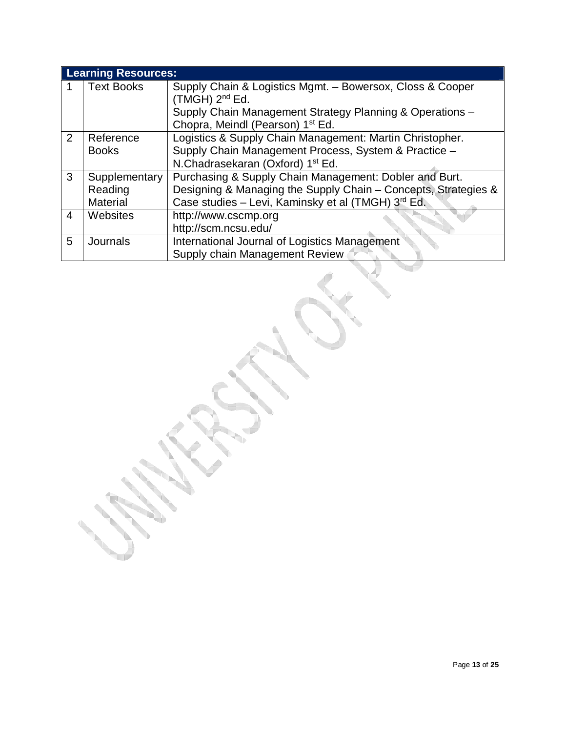|                | <b>Learning Resources:</b> |                                                                |  |  |  |
|----------------|----------------------------|----------------------------------------------------------------|--|--|--|
|                | <b>Text Books</b>          | Supply Chain & Logistics Mgmt. - Bowersox, Closs & Cooper      |  |  |  |
|                |                            | (TMGH) 2 <sup>nd</sup> Ed.                                     |  |  |  |
|                |                            | Supply Chain Management Strategy Planning & Operations -       |  |  |  |
|                |                            | Chopra, Meindl (Pearson) 1 <sup>st</sup> Ed.                   |  |  |  |
| $\overline{2}$ | Reference                  | Logistics & Supply Chain Management: Martin Christopher.       |  |  |  |
|                | <b>Books</b>               | Supply Chain Management Process, System & Practice -           |  |  |  |
|                |                            | N.Chadrasekaran (Oxford) 1 <sup>st</sup> Ed.                   |  |  |  |
| 3              | Supplementary              | Purchasing & Supply Chain Management: Dobler and Burt.         |  |  |  |
|                | Reading                    | Designing & Managing the Supply Chain - Concepts, Strategies & |  |  |  |
|                | <b>Material</b>            | Case studies - Levi, Kaminsky et al (TMGH) 3rd Ed.             |  |  |  |
| 4              | Websites                   | http://www.cscmp.org                                           |  |  |  |
|                |                            | http://scm.ncsu.edu/                                           |  |  |  |
| 5              | Journals                   | International Journal of Logistics Management                  |  |  |  |
|                |                            | Supply chain Management Review                                 |  |  |  |

a dhe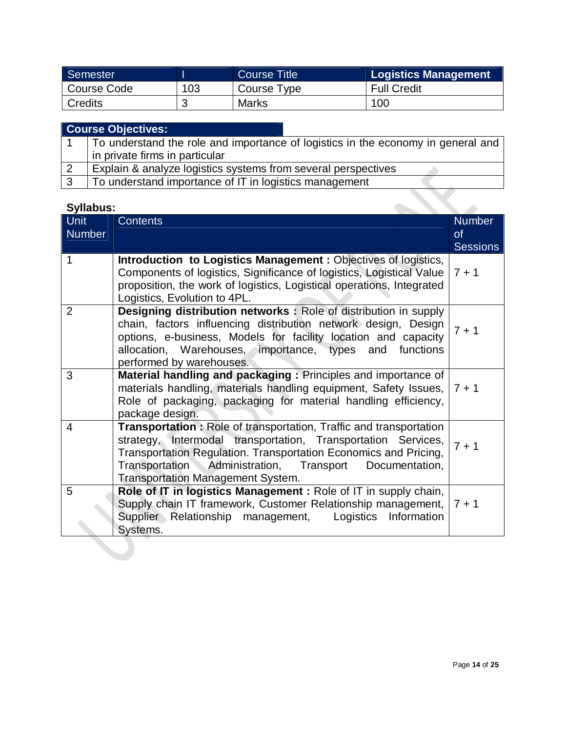| Semester    |     | <b>Course Title</b> | Logistics Management |
|-------------|-----|---------------------|----------------------|
| Course Code | 103 | Course Type         | <b>Full Credit</b>   |
| Credits     |     | Marks               | 100                  |

|   | <b>Course Objectives:</b>                                                        |  |  |
|---|----------------------------------------------------------------------------------|--|--|
|   | To understand the role and importance of logistics in the economy in general and |  |  |
|   | in private firms in particular                                                   |  |  |
|   | Explain & analyze logistics systems from several perspectives                    |  |  |
| ົ | To understand importance of IT in logistics management                           |  |  |

| <b>Syllabus:</b>        |                                                                                                                                                                                                                                                                                                                       |                                               |
|-------------------------|-----------------------------------------------------------------------------------------------------------------------------------------------------------------------------------------------------------------------------------------------------------------------------------------------------------------------|-----------------------------------------------|
| Unit<br><b>Number</b>   | <b>Contents</b>                                                                                                                                                                                                                                                                                                       | <b>Number</b><br>$\circ$ f<br><b>Sessions</b> |
| 1                       | Introduction to Logistics Management: Objectives of logistics,<br>Components of logistics, Significance of logistics, Logistical Value<br>proposition, the work of logistics, Logistical operations, Integrated<br>Logistics, Evolution to 4PL.                                                                       | $7 + 1$                                       |
| $\overline{2}$          | Designing distribution networks: Role of distribution in supply<br>chain, factors influencing distribution network design, Design<br>options, e-business, Models for facility location and capacity<br>allocation, Warehouses, importance, types and functions<br>performed by warehouses.                            | $7 + 1$                                       |
| 3                       | Material handling and packaging: Principles and importance of<br>materials handling, materials handling equipment, Safety Issues,<br>Role of packaging, packaging for material handling efficiency,<br>package design.                                                                                                | $7 + 1$                                       |
| $\overline{\mathbf{4}}$ | <b>Transportation:</b> Role of transportation, Traffic and transportation<br>strategy, Intermodal transportation, Transportation Services,<br>Transportation Regulation. Transportation Economics and Pricing,<br>Transportation Administration, Transport Documentation,<br><b>Transportation Management System.</b> | $7 + 1$                                       |
| 5                       | Role of IT in logistics Management: Role of IT in supply chain,<br>Supply chain IT framework, Customer Relationship management,<br>Supplier Relationship management,<br>Logistics Information<br>Systems.                                                                                                             | $7 + 1$                                       |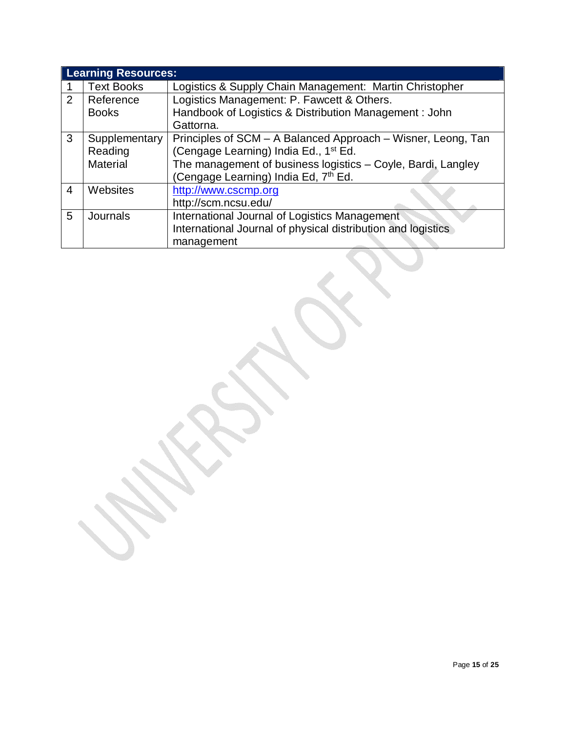|                | <b>Learning Resources:</b> |                                                              |  |
|----------------|----------------------------|--------------------------------------------------------------|--|
|                | <b>Text Books</b>          | Logistics & Supply Chain Management: Martin Christopher      |  |
| $\overline{2}$ | Reference                  | Logistics Management: P. Fawcett & Others.                   |  |
|                | <b>Books</b>               | Handbook of Logistics & Distribution Management : John       |  |
|                |                            | Gattorna.                                                    |  |
| 3              | Supplementary              | Principles of SCM – A Balanced Approach – Wisner, Leong, Tan |  |
|                | Reading                    | (Cengage Learning) India Ed., 1 <sup>st</sup> Ed.            |  |
|                | <b>Material</b>            | The management of business logistics - Coyle, Bardi, Langley |  |
|                |                            | (Cengage Learning) India Ed, 7 <sup>th</sup> Ed.             |  |
| 4              | Websites                   | http://www.cscmp.org                                         |  |
|                |                            | http://scm.ncsu.edu/                                         |  |
| 5              | <b>Journals</b>            | International Journal of Logistics Management                |  |
|                |                            | International Journal of physical distribution and logistics |  |
|                |                            | management                                                   |  |

I.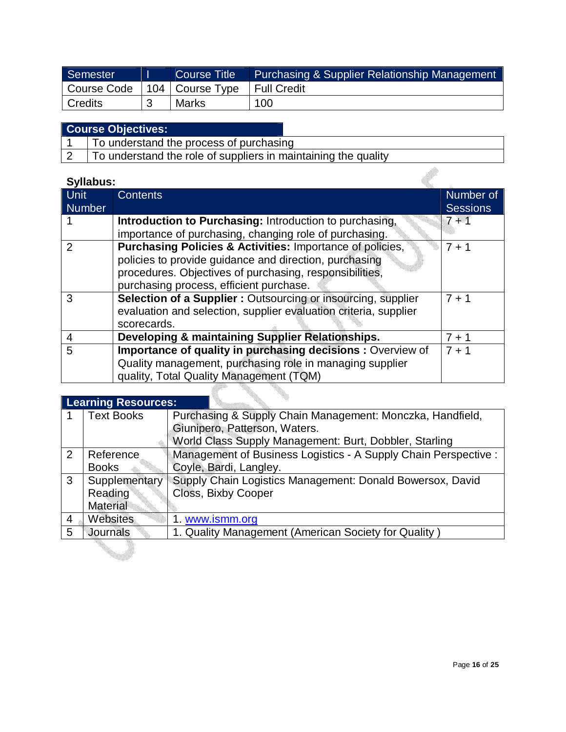| Semester                        | Course Title | Purchasing & Supplier Relationship Management |
|---------------------------------|--------------|-----------------------------------------------|
| Course Code   104   Course Type |              | I Full Credit                                 |
| Credits                         | <b>Marks</b> | 100                                           |

| To understand the process of purchasing |  |
|-----------------------------------------|--|
|-----------------------------------------|--|

2 To understand the role of suppliers in maintaining the quality

# **Syllabus:**

| Unit<br>Number | <b>Contents</b>                                                                                                     | Number of<br><b>Sessions</b> |
|----------------|---------------------------------------------------------------------------------------------------------------------|------------------------------|
|                | Introduction to Purchasing: Introduction to purchasing,                                                             | $7 + 1$                      |
| 2              | importance of purchasing, changing role of purchasing.<br>Purchasing Policies & Activities: Importance of policies, | $7 + 1$                      |
|                | policies to provide guidance and direction, purchasing                                                              |                              |
|                | procedures. Objectives of purchasing, responsibilities,<br>purchasing process, efficient purchase.                  |                              |
| 3              | <b>Selection of a Supplier:</b> Outsourcing or insourcing, supplier                                                 | $7 + 1$                      |
|                | evaluation and selection, supplier evaluation criteria, supplier<br>scorecards.                                     |                              |
| 4              | Developing & maintaining Supplier Relationships.                                                                    | $7 + 1$                      |
| 5              | Importance of quality in purchasing decisions : Overview of                                                         | $7 + 1$                      |
|                | Quality management, purchasing role in managing supplier                                                            |                              |
|                | quality, Total Quality Management (TQM)                                                                             |                              |

|                | <b>Learning Resources:</b> |                                                                 |  |
|----------------|----------------------------|-----------------------------------------------------------------|--|
|                | <b>Text Books</b>          | Purchasing & Supply Chain Management: Monczka, Handfield,       |  |
|                |                            | Giunipero, Patterson, Waters.                                   |  |
|                |                            | World Class Supply Management: Burt, Dobbler, Starling          |  |
| 2              | Reference                  | Management of Business Logistics - A Supply Chain Perspective : |  |
|                | <b>Books</b>               | Coyle, Bardi, Langley.                                          |  |
| 3              | Supplementary              | Supply Chain Logistics Management: Donald Bowersox, David       |  |
|                | Reading                    | Closs, Bixby Cooper                                             |  |
|                | <b>Material</b>            |                                                                 |  |
| $\overline{4}$ | <b>Websites</b>            | 1. www.ismm.org                                                 |  |
| 5              | <b>Journals</b>            | 1. Quality Management (American Society for Quality)            |  |

**I**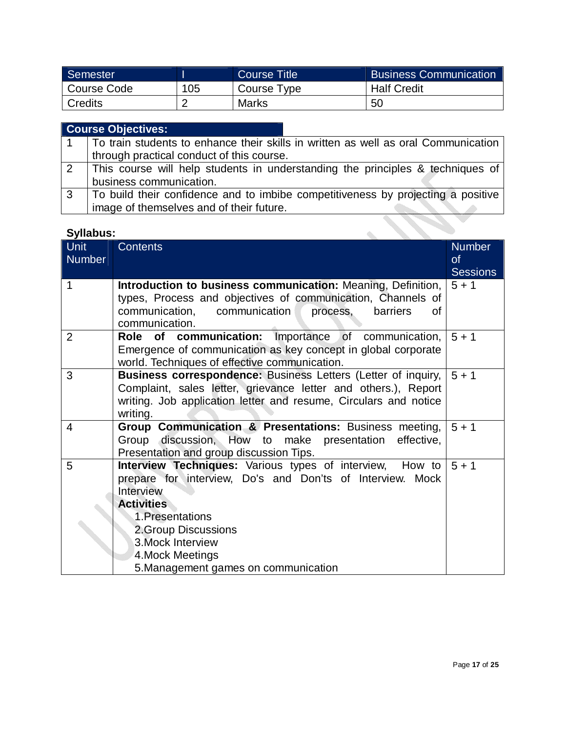| Semester    |     | Course Title | <b>Business Communication</b> |
|-------------|-----|--------------|-------------------------------|
| Course Code | 105 | Course Type  | <b>Half Credit</b>            |
| Credits     |     | <b>Marks</b> | 50                            |

|              | <b>Course Objectives:</b>                                                          |
|--------------|------------------------------------------------------------------------------------|
|              | To train students to enhance their skills in written as well as oral Communication |
|              | through practical conduct of this course.                                          |
| 2            | This course will help students in understanding the principles & techniques of     |
|              | business communication.                                                            |
| $\mathbf{3}$ | To build their confidence and to imbibe competitiveness by projecting a positive   |
|              | image of themselves and of their future.                                           |

| <b>Syllabus:</b> |                                                                                                                                                                                                                                                                                                   |                                               |
|------------------|---------------------------------------------------------------------------------------------------------------------------------------------------------------------------------------------------------------------------------------------------------------------------------------------------|-----------------------------------------------|
| Unit<br>Number   | <b>Contents</b>                                                                                                                                                                                                                                                                                   | <b>Number</b><br><b>of</b><br><b>Sessions</b> |
| 1                | Introduction to business communication: Meaning, Definition,<br>types, Process and objectives of communication, Channels of<br>communication,<br>communication<br>process,<br>barriers<br>Οf<br>communication.                                                                                    | $5 + 1$                                       |
| $\overline{2}$   | Role of communication: Importance of<br>communication,<br>Emergence of communication as key concept in global corporate<br>world. Techniques of effective communication.                                                                                                                          | $5 + 1$                                       |
| 3                | <b>Business correspondence: Business Letters (Letter of inquiry,</b><br>Complaint, sales letter, grievance letter and others.), Report<br>writing. Job application letter and resume, Circulars and notice<br>writing.                                                                            | $5 + 1$                                       |
| 4                | Group Communication & Presentations: Business meeting,<br>Group discussion, How to make presentation<br>effective,<br>Presentation and group discussion Tips.                                                                                                                                     | $5 + 1$                                       |
| 5                | <b>Interview Techniques:</b> Various types of interview,<br>How to<br>prepare for interview, Do's and Don'ts of Interview.<br>Mock<br>Interview<br><b>Activities</b><br>1. Presentations<br>2. Group Discussions<br>3. Mock Interview<br>4. Mock Meetings<br>5. Management games on communication | $5 + 1$                                       |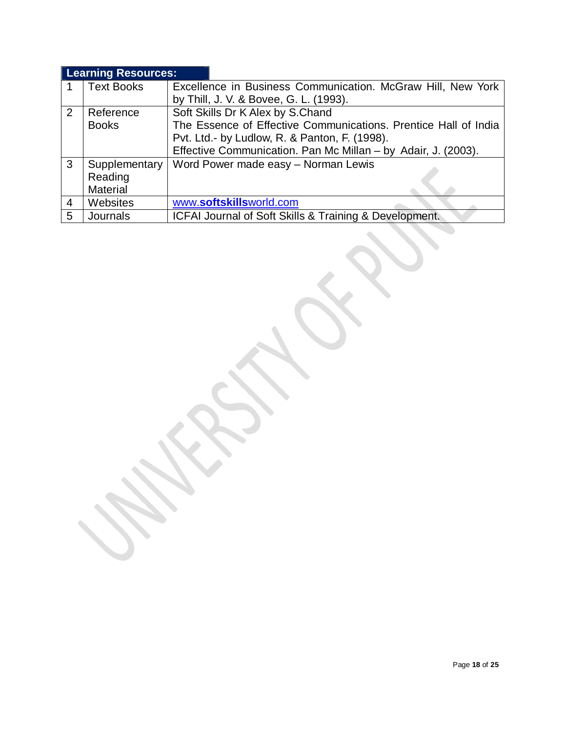## **Learning Resources:**

|   | <b>Text Books</b> | Excellence in Business Communication. McGraw Hill, New York     |  |  |
|---|-------------------|-----------------------------------------------------------------|--|--|
|   |                   | by Thill, J. V. & Bovee, G. L. (1993).                          |  |  |
| 2 | Reference         | Soft Skills Dr K Alex by S.Chand                                |  |  |
|   | <b>Books</b>      | The Essence of Effective Communications. Prentice Hall of India |  |  |
|   |                   | Pvt. Ltd.- by Ludlow, R. & Panton, F. (1998).                   |  |  |
|   |                   | Effective Communication. Pan Mc Millan - by Adair, J. (2003).   |  |  |
| 3 | Supplementary     | Word Power made easy - Norman Lewis                             |  |  |
|   | Reading           |                                                                 |  |  |
|   | <b>Material</b>   |                                                                 |  |  |
| 4 | Websites          | www.softskillsworld.com                                         |  |  |
| 5 | Journals          | ICFAI Journal of Soft Skills & Training & Development.          |  |  |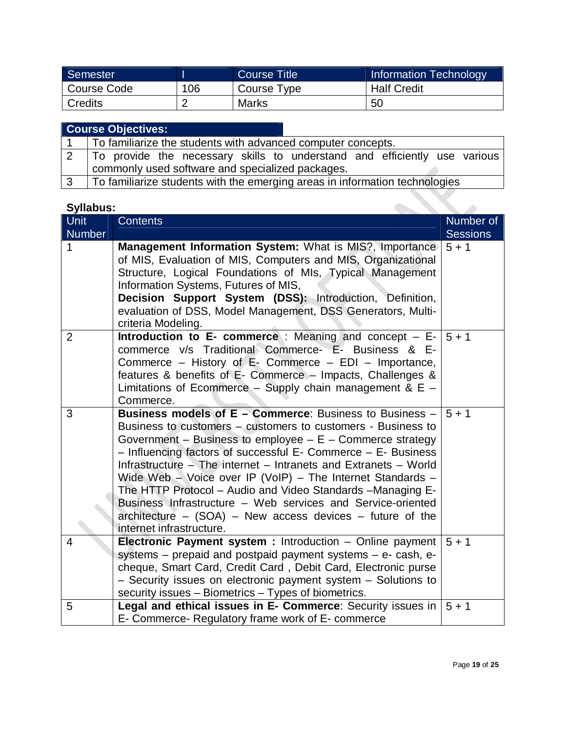| Semester    |     | Course Title | <b>Information Technology</b> |
|-------------|-----|--------------|-------------------------------|
| Course Code | 106 | Course Type  | <b>Half Credit</b>            |
| Credits     |     | Marks        | 50                            |

|               | <b>Course Objectives:</b>                                                   |  |  |  |  |
|---------------|-----------------------------------------------------------------------------|--|--|--|--|
|               | To familiarize the students with advanced computer concepts.                |  |  |  |  |
|               | To provide the necessary skills to understand and efficiently use various   |  |  |  |  |
|               | commonly used software and specialized packages.                            |  |  |  |  |
| $\mathcal{R}$ | To familiarize students with the emerging areas in information technologies |  |  |  |  |

| <b>Syllabus:</b> |                                                                                                                                                                                                                                                                                                                                                                                                                                                                                                                                                                                                                              |                 |
|------------------|------------------------------------------------------------------------------------------------------------------------------------------------------------------------------------------------------------------------------------------------------------------------------------------------------------------------------------------------------------------------------------------------------------------------------------------------------------------------------------------------------------------------------------------------------------------------------------------------------------------------------|-----------------|
| <b>Unit</b>      | <b>Contents</b>                                                                                                                                                                                                                                                                                                                                                                                                                                                                                                                                                                                                              | Number of       |
| Number           |                                                                                                                                                                                                                                                                                                                                                                                                                                                                                                                                                                                                                              | <b>Sessions</b> |
| 1                | Management Information System: What is MIS?, Importance<br>of MIS, Evaluation of MIS, Computers and MIS, Organizational<br>Structure, Logical Foundations of MIs, Typical Management<br>Information Systems, Futures of MIS,<br>Decision Support System (DSS): Introduction, Definition,<br>evaluation of DSS, Model Management, DSS Generators, Multi-<br>criteria Modeling.                                                                                                                                                                                                                                                | $5 + 1$         |
| 2                | <b>Introduction to E- commerce</b> : Meaning and concept $-$ E-<br>commerce v/s Traditional Commerce- E- Business & E-<br>Commerce – History of E- Commerce – EDI – Importance,<br>features & benefits of E- Commerce - Impacts, Challenges &<br>Limitations of Ecommerce - Supply chain management & $E -$<br>Commerce.                                                                                                                                                                                                                                                                                                     | $5 + 1$         |
| 3                | <b>Business models of E - Commerce:</b> Business to Business -<br>Business to customers – customers to customers - Business to<br>Government - Business to employee $- E -$ Commerce strategy<br>- Influencing factors of successful E- Commerce - E- Business<br>Infrastructure - The internet - Intranets and Extranets - World<br>Wide Web - Voice over IP (VoIP) - The Internet Standards -<br>The HTTP Protocol - Audio and Video Standards - Managing E-<br>Business Infrastructure – Web services and Service-oriented<br>architecture $-$ (SOA) $-$ New access devices $-$ future of the<br>internet infrastructure. | $5 + 1$         |
| 4                | Electronic Payment system : Introduction - Online payment<br>systems – prepaid and postpaid payment systems – e- cash, e-<br>cheque, Smart Card, Credit Card, Debit Card, Electronic purse<br>- Security issues on electronic payment system - Solutions to<br>security issues – Biometrics – Types of biometrics.                                                                                                                                                                                                                                                                                                           | $5 + 1$         |
| 5                | Legal and ethical issues in E- Commerce: Security issues in<br>E- Commerce- Regulatory frame work of E- commerce                                                                                                                                                                                                                                                                                                                                                                                                                                                                                                             | $5 + 1$         |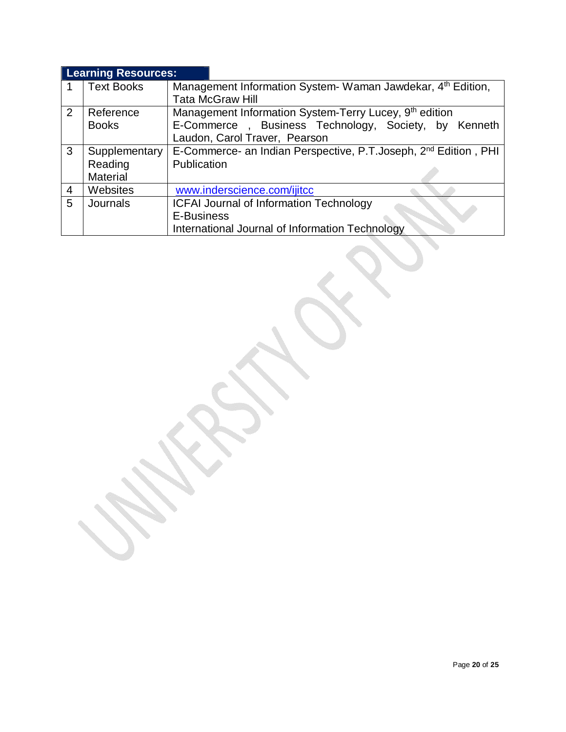|   | <b>Learning Resources:</b> |                                                                              |  |  |
|---|----------------------------|------------------------------------------------------------------------------|--|--|
|   | <b>Text Books</b>          | Management Information System-Waman Jawdekar, 4 <sup>th</sup> Edition,       |  |  |
|   |                            | <b>Tata McGraw Hill</b>                                                      |  |  |
| 2 | Reference                  | Management Information System-Terry Lucey, 9 <sup>th</sup> edition           |  |  |
|   | <b>Books</b>               | E-Commerce, Business Technology, Society, by Kenneth                         |  |  |
|   |                            | Laudon, Carol Traver, Pearson                                                |  |  |
| 3 | Supplementary              | E-Commerce- an Indian Perspective, P.T. Joseph, 2 <sup>nd</sup> Edition, PHI |  |  |
|   | Reading                    | Publication                                                                  |  |  |
|   | <b>Material</b>            |                                                                              |  |  |
| 4 | Websites                   | www.inderscience.com/ijitcc                                                  |  |  |
| 5 | Journals                   | <b>ICFAI Journal of Information Technology</b>                               |  |  |
|   |                            | E-Business                                                                   |  |  |
|   |                            | International Journal of Information Technology                              |  |  |
|   |                            |                                                                              |  |  |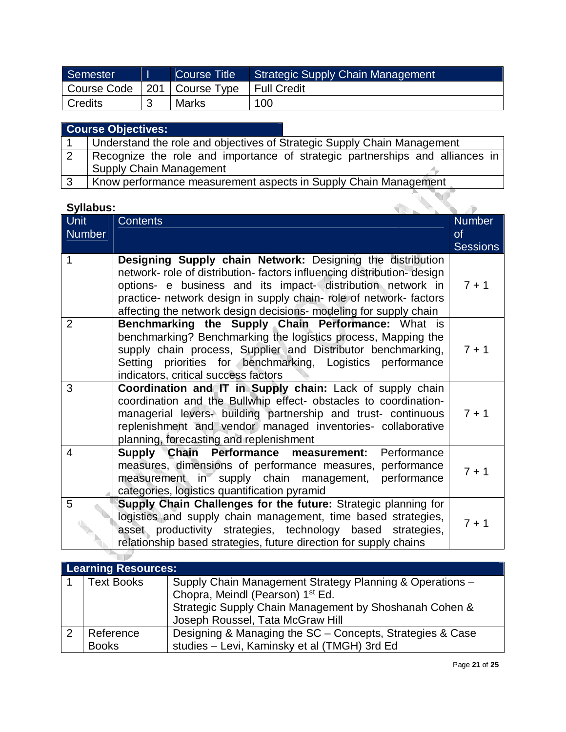| Semester                        | Course Title | Strategic Supply Chain Management |
|---------------------------------|--------------|-----------------------------------|
| Course Code   201   Course Type |              | Full Credit                       |
| <b>Credits</b>                  | <b>Marks</b> | 100                               |

|                | <b>Course Objectives:</b>                                                    |
|----------------|------------------------------------------------------------------------------|
|                | Understand the role and objectives of Strategic Supply Chain Management      |
| $\overline{2}$ | Recognize the role and importance of strategic partnerships and alliances in |
|                | <b>Supply Chain Management</b>                                               |
| 3              | Know performance measurement aspects in Supply Chain Management              |

| <b>Syllabus:</b> |                                                                                                                                                                                                                                                                                                                                               |                                               |
|------------------|-----------------------------------------------------------------------------------------------------------------------------------------------------------------------------------------------------------------------------------------------------------------------------------------------------------------------------------------------|-----------------------------------------------|
| Unit<br>Number   | <b>Contents</b>                                                                                                                                                                                                                                                                                                                               | <b>Number</b><br><b>of</b><br><b>Sessions</b> |
| 1                | Designing Supply chain Network: Designing the distribution<br>network- role of distribution-factors influencing distribution-design<br>options- e business and its impact- distribution network in<br>practice- network design in supply chain- role of network- factors<br>affecting the network design decisions- modeling for supply chain | $7 + 1$                                       |
| $\overline{2}$   | Benchmarking the Supply Chain Performance: What is<br>benchmarking? Benchmarking the logistics process, Mapping the<br>supply chain process, Supplier and Distributor benchmarking,<br>Setting priorities for benchmarking, Logistics performance<br>indicators, critical success factors                                                     | $7 + 1$                                       |
| 3                | Coordination and IT in Supply chain: Lack of supply chain<br>coordination and the Bullwhip effect- obstacles to coordination-<br>managerial levers- building partnership and trust- continuous<br>replenishment and vendor managed inventories- collaborative<br>planning, forecasting and replenishment                                      | $7 + 1$                                       |
| $\overline{4}$   | Performance<br>Supply Chain Performance measurement:<br>measures, dimensions of performance measures, performance<br>measurement in supply chain management,<br>performance<br>categories, logistics quantification pyramid                                                                                                                   | $7 + 1$                                       |
| 5                | Supply Chain Challenges for the future: Strategic planning for<br>logistics and supply chain management, time based strategies,<br>asset productivity strategies, technology based strategies,<br>relationship based strategies, future direction for supply chains                                                                           | $7 + 1$                                       |

| <b>Learning Resources:</b> |                                                                                                                                                                                                        |  |  |  |
|----------------------------|--------------------------------------------------------------------------------------------------------------------------------------------------------------------------------------------------------|--|--|--|
| <b>Text Books</b>          | Supply Chain Management Strategy Planning & Operations -<br>Chopra, Meindl (Pearson) 1 <sup>st</sup> Ed.<br>Strategic Supply Chain Management by Shoshanah Cohen &<br>Joseph Roussel, Tata McGraw Hill |  |  |  |
| Reference<br><b>Books</b>  | Designing & Managing the SC – Concepts, Strategies & Case<br>studies - Levi, Kaminsky et al (TMGH) 3rd Ed                                                                                              |  |  |  |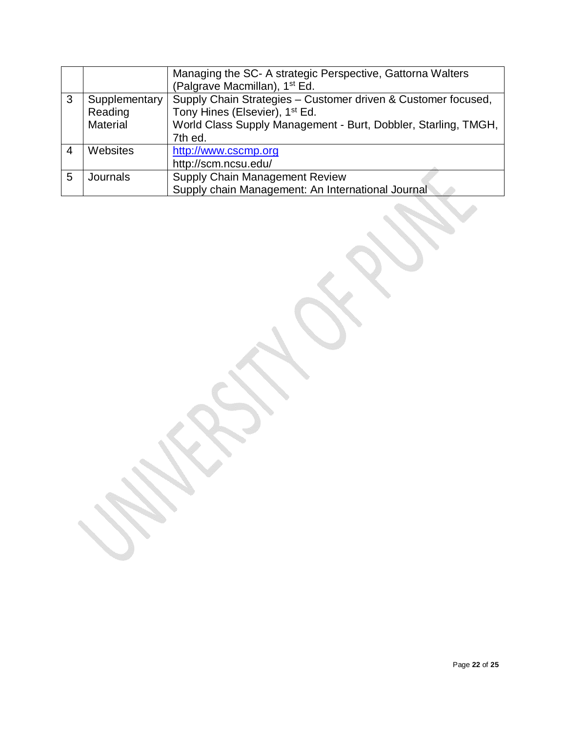|   |                 | Managing the SC- A strategic Perspective, Gattorna Walters     |  |  |
|---|-----------------|----------------------------------------------------------------|--|--|
|   |                 | (Palgrave Macmillan), 1 <sup>st</sup> Ed.                      |  |  |
| 3 | Supplementary   | Supply Chain Strategies - Customer driven & Customer focused,  |  |  |
|   | Reading         | Tony Hines (Elsevier), 1 <sup>st</sup> Ed.                     |  |  |
|   | <b>Material</b> | World Class Supply Management - Burt, Dobbler, Starling, TMGH, |  |  |
|   |                 | 7th ed.                                                        |  |  |
| 4 | Websites        | http://www.cscmp.org                                           |  |  |
|   |                 | http://scm.ncsu.edu/                                           |  |  |
| 5 | Journals        | Supply Chain Management Review                                 |  |  |
|   |                 | Supply chain Management: An International Journal              |  |  |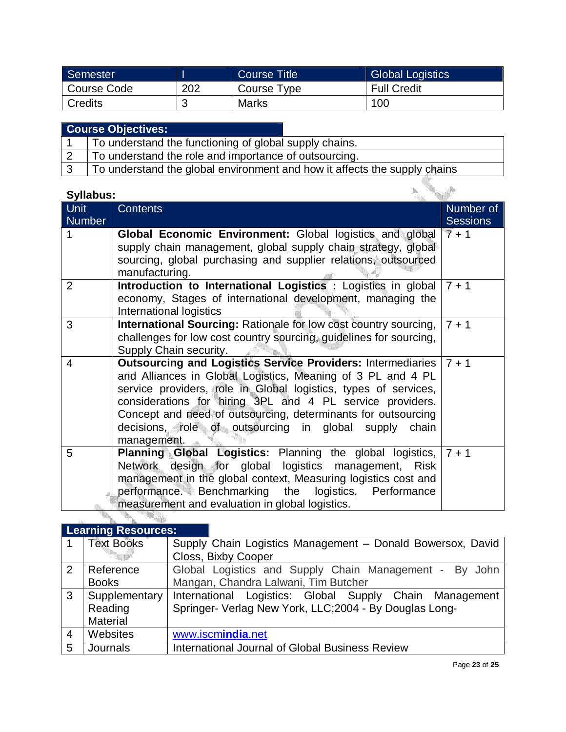| Semester    |     | Course Title1 | <b>Global Logistics</b> |
|-------------|-----|---------------|-------------------------|
| Course Code | 202 | Course Type   | <b>Full Credit</b>      |
| Credits     |     | <b>Marks</b>  | 100                     |

| <b>Course Objectives:</b>                                                 |  |
|---------------------------------------------------------------------------|--|
| To understand the functioning of global supply chains.                    |  |
| To understand the role and importance of outsourcing.                     |  |
| To understand the global environment and how it affects the supply chains |  |

| Syllabus:             |                                                                                                                                                                                                                                                                                                                                                                                                             |                              |
|-----------------------|-------------------------------------------------------------------------------------------------------------------------------------------------------------------------------------------------------------------------------------------------------------------------------------------------------------------------------------------------------------------------------------------------------------|------------------------------|
| Unit<br><b>Number</b> | <b>Contents</b>                                                                                                                                                                                                                                                                                                                                                                                             | Number of<br><b>Sessions</b> |
|                       | <b>Global Economic Environment:</b> Global logistics and global<br>supply chain management, global supply chain strategy, global<br>sourcing, global purchasing and supplier relations, outsourced<br>manufacturing.                                                                                                                                                                                        | $7 + 1$                      |
| 2                     | Introduction to International Logistics : Logistics in global $7 + 1$<br>economy, Stages of international development, managing the<br>International logistics                                                                                                                                                                                                                                              |                              |
| 3                     | International Sourcing: Rationale for low cost country sourcing,<br>challenges for low cost country sourcing, guidelines for sourcing,<br>Supply Chain security.                                                                                                                                                                                                                                            | $7 + 1$                      |
| 4                     | Outsourcing and Logistics Service Providers: Intermediaries   7 + 1<br>and Alliances in Global Logistics, Meaning of 3 PL and 4 PL<br>service providers, role in Global logistics, types of services,<br>considerations for hiring 3PL and 4 PL service providers.<br>Concept and need of outsourcing, determinants for outsourcing<br>decisions, role of outsourcing in global supply chain<br>management. |                              |
| 5                     | <b>Planning Global Logistics:</b> Planning the global logistics, $7 + 1$<br>design for global logistics management, Risk<br>Network<br>management in the global context, Measuring logistics cost and<br>performance. Benchmarking the logistics, Performance<br>measurement and evaluation in global logistics.                                                                                            |                              |

# **Learning Resources:**

|                | <b>Text Books</b> | Supply Chain Logistics Management - Donald Bowersox, David |
|----------------|-------------------|------------------------------------------------------------|
|                |                   | Closs, Bixby Cooper                                        |
| 2              | Reference         | Global Logistics and Supply Chain Management - By John     |
|                | <b>Books</b>      | Mangan, Chandra Lalwani, Tim Butcher                       |
| 3 <sup>1</sup> | Supplementary     | International Logistics: Global Supply Chain Management    |
|                | Reading           | Springer- Verlag New York, LLC;2004 - By Douglas Long-     |
|                | <b>Material</b>   |                                                            |
| $\overline{4}$ | Websites          | www.iscmindia.net                                          |
| 5              | Journals          | International Journal of Global Business Review            |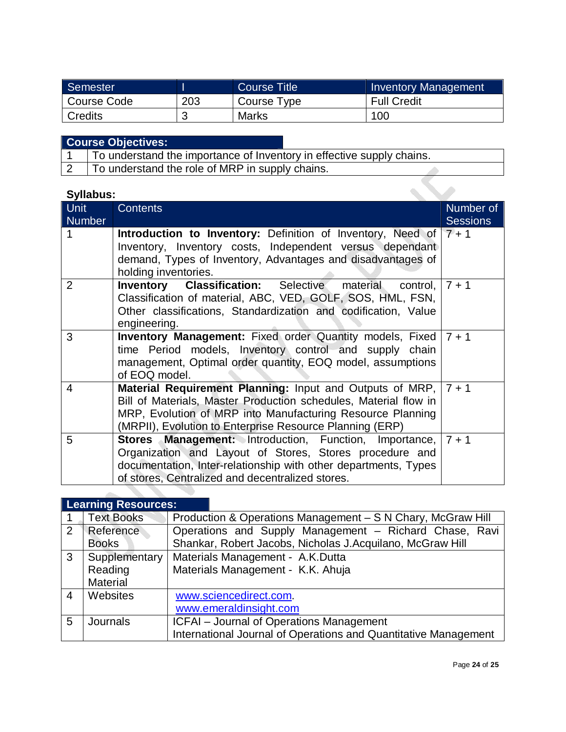| Semester    |     | Course Title | <b>Inventory Management</b> |
|-------------|-----|--------------|-----------------------------|
| Course Code | 203 | Course Type  | <b>Full Credit</b>          |
| Credits     | u   | <b>Marks</b> | 100                         |

| <b>Course Objectives:</b>                                             |  |
|-----------------------------------------------------------------------|--|
| To understand the importance of Inventory in effective supply chains. |  |
| To understand the role of MRP in supply chains.                       |  |

| <b>Syllabus:</b> |                                                                                                                                                                                                                                                                       |                              |
|------------------|-----------------------------------------------------------------------------------------------------------------------------------------------------------------------------------------------------------------------------------------------------------------------|------------------------------|
| Unit<br>Number   | <b>Contents</b>                                                                                                                                                                                                                                                       | Number of<br><b>Sessions</b> |
|                  | <b>Introduction to Inventory:</b> Definition of Inventory, Need of $7 + 1$<br>Inventory, Inventory costs, Independent versus dependant<br>demand, Types of Inventory, Advantages and disadvantages of<br>holding inventories.                                         |                              |
| $\overline{2}$   | <b>Inventory Classification:</b> Selective material<br>control, $7 + 1$<br>Classification of material, ABC, VED, GOLF, SOS, HML, FSN,<br>Other classifications, Standardization and codification, Value<br>engineering.                                               |                              |
| 3                | <b>Inventory Management:</b> Fixed order Quantity models, Fixed $7 + 1$<br>time Period models, Inventory control and supply chain<br>management, Optimal order quantity, EOQ model, assumptions<br>of EOQ model.                                                      |                              |
| 4                | <b>Material Requirement Planning:</b> Input and Outputs of MRP, $7 + 1$<br>Bill of Materials, Master Production schedules, Material flow in<br>MRP, Evolution of MRP into Manufacturing Resource Planning<br>(MRPII), Evolution to Enterprise Resource Planning (ERP) |                              |
| 5                | <b>Stores Management:</b> Introduction, Function, Importance,   7 + 1<br>Organization and Layout of Stores, Stores procedure and<br>documentation, Inter-relationship with other departments, Types<br>of stores, Centralized and decentralized stores.               |                              |
|                  |                                                                                                                                                                                                                                                                       |                              |

| <b>Learning Resources:</b> |                   |                                                                 |
|----------------------------|-------------------|-----------------------------------------------------------------|
|                            | <b>Text Books</b> | Production & Operations Management - S N Chary, McGraw Hill     |
| 2                          | Reference         | Operations and Supply Management - Richard Chase, Ravi          |
|                            | <b>Books</b>      | Shankar, Robert Jacobs, Nicholas J.Acquilano, McGraw Hill       |
| $\mathbf{3}$               | Supplementary     | Materials Management - A.K.Dutta                                |
|                            | Reading           | Materials Management - K.K. Ahuja                               |
|                            | <b>Material</b>   |                                                                 |
| $\overline{4}$             | Websites          | www.sciencedirect.com.                                          |
|                            |                   | www.emeraldinsight.com                                          |
| 5                          | Journals          | ICFAI - Journal of Operations Management                        |
|                            |                   | International Journal of Operations and Quantitative Management |